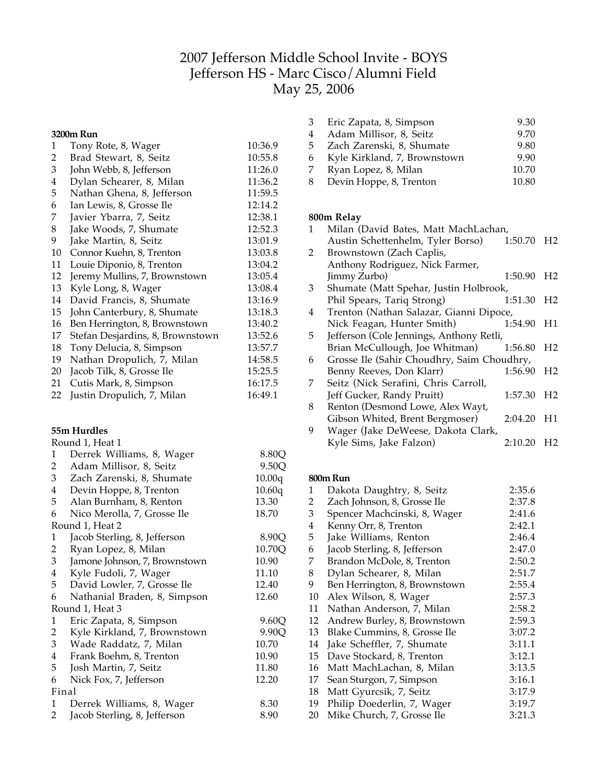# Jefferson Middle School Invite - BOYS Jefferson HS - Marc Cisco/Alumni Field May 25, 2006

#### **3200m Run**

| 1  | Tony Rote, 8, Wager              | 10:36.9 |
|----|----------------------------------|---------|
| 2  | Brad Stewart, 8, Seitz           | 10:55.8 |
| 3  | John Webb, 8, Jefferson          | 11:26.0 |
| 4  | Dylan Schearer, 8, Milan         | 11:36.2 |
| 5  | Nathan Ghena, 8, Jefferson       | 11:59.5 |
| 6  | Ian Lewis, 8, Grosse Ile         | 12:14.2 |
| 7  | Javier Ybarra, 7, Seitz          | 12:38.1 |
| 8  | Jake Woods, 7, Shumate           | 12:52.3 |
| 9  | Jake Martin, 8, Seitz            | 13:01.9 |
| 10 | Connor Kuehn, 8, Trenton         | 13:03.8 |
| 11 | Louie Diponio, 8, Trenton        | 13:04.2 |
| 12 | Jeremy Mullins, 7, Brownstown    | 13:05.4 |
| 13 | Kyle Long, 8, Wager              | 13:08.4 |
| 14 | David Francis, 8, Shumate        | 13:16.9 |
| 15 | John Canterbury, 8, Shumate      | 13:18.3 |
| 16 | Ben Herrington, 8, Brownstown    | 13:40.2 |
| 17 | Stefan Desjardins, 8, Brownstown | 13:52.6 |
| 18 | Tony Delucia, 8, Simpson         | 13:57.7 |
| 19 | Nathan Dropulich, 7, Milan       | 14:58.5 |
| 20 | Jacob Tilk, 8, Grosse Ile        | 15:25.5 |
| 21 | Cutis Mark, 8, Simpson           | 16:17.5 |
| 22 | Justin Dropulich, 7, Milan       | 16:49.1 |

## **55m Hurdles**

|                         | Round 1, Heat 1               |        |
|-------------------------|-------------------------------|--------|
| 1                       | Derrek Williams, 8, Wager     | 8.80Q  |
| $\overline{a}$          | Adam Millisor, 8, Seitz       | 9.50Q  |
| $\mathbf{3}$            | Zach Zarenski, 8, Shumate     | 10.00q |
| $\overline{4}$          | Devin Hoppe, 8, Trenton       | 10.60q |
| 5                       | Alan Burnham, 8, Renton       | 13.30  |
| 6                       | Nico Merolla, 7, Grosse Ile   | 18.70  |
|                         | Round 1, Heat 2               |        |
| $\mathbf{1}$            | Jacob Sterling, 8, Jefferson  | 8.90Q  |
| $\overline{a}$          | Ryan Lopez, 8, Milan          | 10.70Q |
| $\overline{3}$          | Jamone Johnson, 7, Brownstown | 10.90  |
| $\overline{\mathbf{4}}$ | Kyle Fudoli, 7, Wager         | 11.10  |
| 5 <sup>5</sup>          | David Lowler, 7, Grosse Ile   | 12.40  |
| 6                       | Nathanial Braden, 8, Simpson  | 12.60  |
|                         | Round 1, Heat 3               |        |
| 1                       | Eric Zapata, 8, Simpson       | 9.60Q  |
| $\overline{a}$          | Kyle Kirkland, 7, Brownstown  | 9.90Q  |
| $\mathfrak{Z}$          | Wade Raddatz, 7, Milan        | 10.70  |
| $\overline{4}$          | Frank Boehm, 8, Trenton       | 10.90  |
| 5                       | Josh Martin, 7, Seitz         | 11.80  |
| 6                       | Nick Fox, 7, Jefferson        | 12.20  |
|                         | Final                         |        |
| 1                       | Derrek Williams, 8, Wager     | 8.30   |
| 2                       | Jacob Sterling, 8, Jefferson  | 8.90   |

| 3   | Eric Zapata, 8, Simpson        | 9.30  |
|-----|--------------------------------|-------|
| 4   | Adam Millisor, 8, Seitz        | 9.70  |
| 5 — | Zach Zarenski, 8, Shumate      | 9.80  |
|     | 6 Kyle Kirkland, 7, Brownstown | 9.90  |
| 7   | Ryan Lopez, 8, Milan           | 10.70 |
| 8.  | Devin Hoppe, 8, Trenton        | 10.80 |

## **800m Relay**

| $\mathbf{1}$ | Milan (David Bates, Matt MachLachan,       |                        |                |
|--------------|--------------------------------------------|------------------------|----------------|
|              | Austin Schettenhelm, Tyler Borso)          | 1:50.70                | H <sub>2</sub> |
| 2            | Brownstown (Zach Caplis,                   |                        |                |
|              | Anthony Rodriguez, Nick Farmer,            |                        |                |
|              | Jimmy Zurbo)                               | 1:50.90                | H <sub>2</sub> |
| 3            | Shumate (Matt Spehar, Justin Holbrook,     |                        |                |
|              | Phil Spears, Tariq Strong)                 | 1:51.30                | H <sub>2</sub> |
| 4            | Trenton (Nathan Salazar, Gianni Dipoce,    |                        |                |
|              | Nick Feagan, Hunter Smith)                 | 1:54.90                | H1             |
| 5            | Jefferson (Cole Jennings, Anthony Retli,   |                        |                |
|              | Brian McCullough, Joe Whitman)             | 1:56.80                | H <sub>2</sub> |
| 6            | Grosse Ile (Sahir Choudhry, Saim Choudhry, |                        |                |
|              | Benny Reeves, Don Klarr)                   | 1:56.90 H <sub>2</sub> |                |
| 7            | Seitz (Nick Serafini, Chris Carroll,       |                        |                |
|              | Jeff Gucker, Randy Pruitt)                 | 1:57.30                | H2             |
| 8            | Renton (Desmond Lowe, Alex Wayt,           |                        |                |
|              | Gibson Whited, Brent Bergmoser)            | 2:04.20 H1             |                |
| 9            | Wager (Jake DeWeese, Dakota Clark,         |                        |                |
|              | Kyle Sims, Jake Falzon)                    | 2:10.20                | H <sub>2</sub> |
|              |                                            |                        |                |

#### **800mRun**

| 1  | Dakota Daughtry, 8, Seitz     | 2:35.6 |
|----|-------------------------------|--------|
| 2  | Zach Johnson, 8, Grosse Ile   | 2:37.8 |
| 3  | Spencer Machcinski, 8, Wager  | 2:41.6 |
| 4  | Kenny Orr, 8, Trenton         | 2:42.1 |
| 5  | Jake Williams, Renton         | 2:46.4 |
| 6  | Jacob Sterling, 8, Jefferson  | 2:47.0 |
| 7  | Brandon McDole, 8, Trenton    | 2:50.2 |
| 8  | Dylan Schearer, 8, Milan      | 2:51.7 |
| 9  | Ben Herrington, 8, Brownstown | 2:55.4 |
| 10 | Alex Wilson, 8, Wager         | 2:57.3 |
| 11 | Nathan Anderson, 7, Milan     | 2:58.2 |
| 12 | Andrew Burley, 8, Brownstown  | 2:59.3 |
| 13 | Blake Cummins, 8, Grosse Ile  | 3:07.2 |
| 14 | Jake Scheffler, 7, Shumate    | 3:11.1 |
| 15 | Dave Stockard, 8, Trenton     | 3:12.1 |
| 16 | Matt MachLachan, 8, Milan     | 3:13.5 |
| 17 | Sean Sturgon, 7, Simpson      | 3:16.1 |
| 18 | Matt Gyurcsik, 7, Seitz       | 3:17.9 |
| 19 | Philip Doederlin, 7, Wager    | 3:19.7 |
| 20 | Mike Church, 7, Grosse Ile    | 3:21.3 |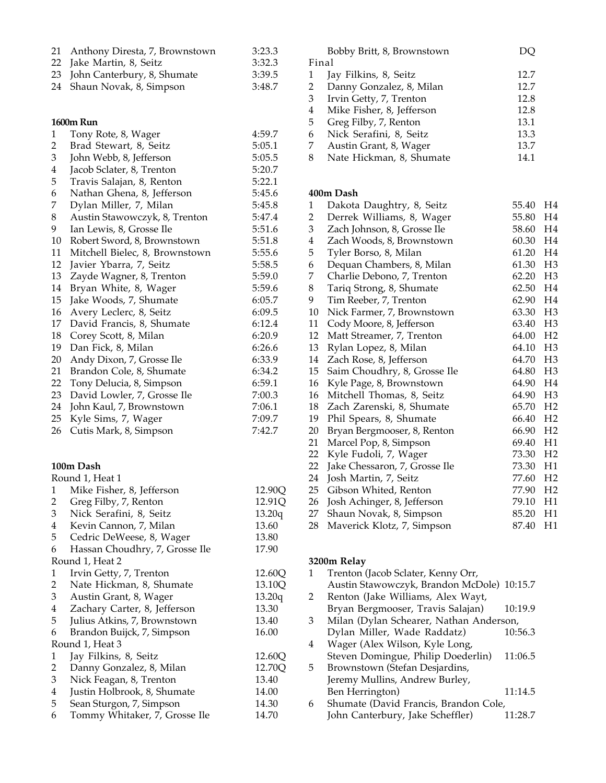| 21<br>22<br>23<br>24    | Anthony Diresta, 7, Brownstown<br>Jake Martin, 8, Seitz<br>John Canterbury, 8, Shumate<br>Shaun Novak, 8, Simpson | 3:23.3<br>3:32.3<br>3:39.5<br>3:48.7 |
|-------------------------|-------------------------------------------------------------------------------------------------------------------|--------------------------------------|
|                         | <b>1600m Run</b>                                                                                                  |                                      |
| 1                       | Tony Rote, 8, Wager                                                                                               | 4:59.7                               |
| 2                       | Brad Stewart, 8, Seitz                                                                                            | 5:05.1                               |
| 3                       | John Webb, 8, Jefferson                                                                                           | 5:05.5                               |
| $\overline{\mathbf{4}}$ | Jacob Sclater, 8, Trenton                                                                                         | 5:20.7                               |
| 5                       | Travis Salajan, 8, Renton                                                                                         | 5:22.1                               |
| 6                       | Nathan Ghena, 8, Jefferson                                                                                        | 5:45.6                               |
| 7                       | Dylan Miller, 7, Milan                                                                                            | 5:45.8                               |
| 8                       | Austin Stawowczyk, 8, Trenton                                                                                     | 5:47.4                               |
| 9                       | Ian Lewis, 8, Grosse Ile                                                                                          | 5:51.6                               |
| 10<br>11                | Robert Sword, 8, Brownstown<br>Mitchell Bielec, 8, Brownstown                                                     | 5:51.8                               |
| 12                      | Javier Ybarra, 7, Seitz                                                                                           | 5:55.6<br>5:58.5                     |
| 13                      | Zayde Wagner, 8, Trenton                                                                                          | 5:59.0                               |
| 14                      | Bryan White, 8, Wager                                                                                             | 5:59.6                               |
| 15                      | Jake Woods, 7, Shumate                                                                                            | 6:05.7                               |
| 16                      | Avery Leclerc, 8, Seitz                                                                                           | 6:09.5                               |
| 17                      | David Francis, 8, Shumate                                                                                         | 6:12.4                               |
| 18                      | Corey Scott, 8, Milan                                                                                             | 6:20.9                               |
| 19                      | Dan Fick, 8, Milan                                                                                                | 6:26.6                               |
| 20                      | Andy Dixon, 7, Grosse Ile                                                                                         | 6:33.9                               |
| 21                      | Brandon Cole, 8, Shumate                                                                                          | 6:34.2                               |
| 22                      | Tony Delucia, 8, Simpson                                                                                          | 6:59.1                               |
| 23                      | David Lowler, 7, Grosse Ile                                                                                       | 7:00.3                               |
| 24                      | John Kaul, 7, Brownstown                                                                                          | 7:06.1                               |
| 25                      | Kyle Sims, 7, Wager                                                                                               | 7:09.7                               |
| 26                      | Cutis Mark, 8, Simpson                                                                                            | 7:42.7                               |
|                         | 100m Dash                                                                                                         |                                      |
|                         | Round 1, Heat 1                                                                                                   |                                      |
| $\mathbf{1}$            | Mike Fisher, 8, Jefferson                                                                                         | 12.90Q                               |
| 2                       | Greg Filby, 7, Renton                                                                                             | 12.91Q                               |
| 3                       | Nick Serafini, 8, Seitz                                                                                           | 13.20q                               |
| $\overline{\mathbf{4}}$ | Kevin Cannon, 7, Milan                                                                                            | 13.60                                |
| 5                       | Cedric DeWeese, 8, Wager                                                                                          | 13.80                                |
| 6                       | Hassan Choudhry, 7, Grosse Ile                                                                                    | 17.90                                |
|                         | Round 1, Heat 2                                                                                                   |                                      |
| 1                       | Irvin Getty, 7, Trenton                                                                                           | 12.60Q<br>13.10Q                     |
| $\overline{c}$<br>3     | Nate Hickman, 8, Shumate<br>Austin Grant, 8, Wager                                                                | 13.20q                               |
| $\overline{\mathbf{4}}$ | Zachary Carter, 8, Jefferson                                                                                      | 13.30                                |
| 5                       | Julius Atkins, 7, Brownstown                                                                                      | 13.40                                |
| 6                       | Brandon Buijck, 7, Simpson                                                                                        | 16.00                                |
|                         | Round 1, Heat 3                                                                                                   |                                      |
| $\mathbf{1}$            | Jay Filkins, 8, Seitz                                                                                             | 12.60Q                               |
| $\overline{c}$          | Danny Gonzalez, 8, Milan                                                                                          | 12.70Q                               |
| 3                       | Nick Feagan, 8, Trenton                                                                                           | 13.40                                |
| $\overline{\mathbf{4}}$ | Justin Holbrook, 8, Shumate                                                                                       | 14.00                                |
| 5                       | Sean Sturgon, 7, Simpson                                                                                          | 14.30                                |
| 6                       | Tommy Whitaker, 7, Grosse Ile                                                                                     | 14.70                                |

| 12.7 |
|------|
| 12.7 |
| 12.8 |
| 12.8 |
| 13.1 |
| 13.3 |
| 13.7 |
| 14.1 |
|      |

### **400m Dash**

| 1                       | Dakota Daughtry, 8, Seitz     | 55.40    | H <sub>4</sub> |
|-------------------------|-------------------------------|----------|----------------|
| 2                       | Derrek Williams, 8, Wager     | 55.80    | H4             |
| 3                       | Zach Johnson, 8, Grosse Ile   | 58.60    | H4             |
| $\overline{\mathbf{4}}$ | Zach Woods, 8, Brownstown     | 60.30 H4 |                |
| 5                       | Tyler Borso, 8, Milan         | 61.20    | H4             |
| 6                       | Dequan Chambers, 8, Milan     | 61.30    | H <sub>3</sub> |
| 7                       | Charlie Debono, 7, Trenton    | 62.20    | H <sub>3</sub> |
| 8                       | Tariq Strong, 8, Shumate      | 62.50    | H <sub>4</sub> |
| 9                       | Tim Reeber, 7, Trenton        | 62.90    | H4             |
| 10                      | Nick Farmer, 7, Brownstown    | 63.30    | H <sub>3</sub> |
| 11                      | Cody Moore, 8, Jefferson      | 63.40    | H <sub>3</sub> |
| 12                      | Matt Streamer, 7, Trenton     | 64.00    | H <sub>2</sub> |
| 13                      | Rylan Lopez, 8, Milan         | 64.10    | H <sub>3</sub> |
| 14                      | Zach Rose, 8, Jefferson       | 64.70    | H <sub>3</sub> |
| 15                      | Saim Choudhry, 8, Grosse Ile  | 64.80    | H <sub>3</sub> |
| 16                      | Kyle Page, 8, Brownstown      | 64.90    | H <sub>4</sub> |
| 16                      | Mitchell Thomas, 8, Seitz     | 64.90    | H <sub>3</sub> |
| 18                      | Zach Zarenski, 8, Shumate     | 65.70    | H <sub>2</sub> |
| 19                      | Phil Spears, 8, Shumate       | 66.40    | H <sub>2</sub> |
| 20                      | Bryan Bergmooser, 8, Renton   | 66.90    | H <sub>2</sub> |
| 21                      | Marcel Pop, 8, Simpson        | 69.40    | H1             |
| 22                      | Kyle Fudoli, 7, Wager         | 73.30    | H <sub>2</sub> |
| 22                      | Jake Chessaron, 7, Grosse Ile | 73.30    | H1             |
| 24                      | Josh Martin, 7, Seitz         | 77.60    | H <sub>2</sub> |
| 25                      | Gibson Whited, Renton         | 77.90    | H <sub>2</sub> |
| 26                      | Josh Achinger, 8, Jefferson   | 79.10    | H1             |
| 27                      | Shaun Novak, 8, Simpson       | 85.20    | H1             |
| 28                      | Maverick Klotz, 7, Simpson    | 87.40    | H1             |

## **3200m Relay**

|    | Trenton (Jacob Sclater, Kenny Orr,         |         |
|----|--------------------------------------------|---------|
|    | Austin Stawowczyk, Brandon McDole) 10:15.7 |         |
| 2  | Renton (Jake Williams, Alex Wayt,          |         |
|    | Bryan Bergmooser, Travis Salajan)          | 10:19.9 |
| 3  | Milan (Dylan Schearer, Nathan Anderson,    |         |
|    | Dylan Miller, Wade Raddatz)                | 10:56.3 |
| 4  | Wager (Alex Wilson, Kyle Long,             |         |
|    | Steven Domingue, Philip Doederlin)         | 11:06.5 |
| 5. | Brownstown (Stefan Desjardins,             |         |
|    | Jeremy Mullins, Andrew Burley,             |         |
|    | Ben Herrington)                            | 11:14.5 |
| 6  | Shumate (David Francis, Brandon Cole,      |         |
|    | John Canterbury, Jake Scheffler)           | 11:28.7 |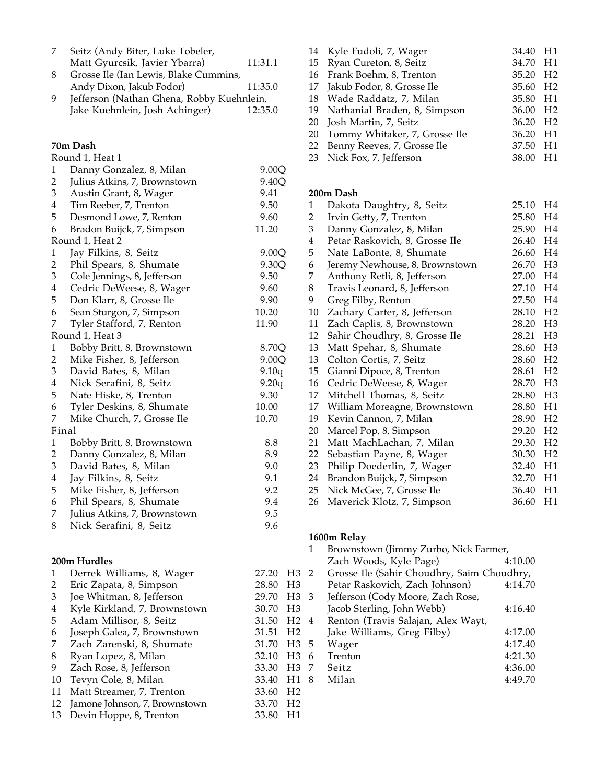|   | Seitz (Andy Biter, Luke Tobeler,                                                          |         |
|---|-------------------------------------------------------------------------------------------|---------|
|   | Matt Gyurcsik, Javier Ybarra)                                                             | 11:31.1 |
| 8 | Grosse Ile (Ian Lewis, Blake Cummins,                                                     |         |
|   | Andy Dixon, Jakub Fodor)                                                                  | 11:35.0 |
|   | $L_{\rm f}(t_{\rm max},t_{\rm max})$ (Mathem $C_{\rm max}$ in Deblem $V_{\rm end}$ but in |         |

9 Jefferson (Nathan Ghena, Robby Kuehnlein, Jake Kuehnlein, Josh Achinger) 12:35.0 Jake Kuehnlein, Josh Achinger)

### **70m Dash**

## Round 1, Heat 1

|                         | wana 1, ricac r              |       |
|-------------------------|------------------------------|-------|
| 1                       | Danny Gonzalez, 8, Milan     | 9.00Q |
| 2                       | Julius Atkins, 7, Brownstown | 9.40Q |
| 3                       | Austin Grant, 8, Wager       | 9.41  |
| $\overline{\mathbf{4}}$ | Tim Reeber, 7, Trenton       | 9.50  |
| 5                       | Desmond Lowe, 7, Renton      | 9.60  |
| 6                       | Bradon Buijck, 7, Simpson    | 11.20 |
|                         | Round 1, Heat 2              |       |
| $\mathbf{1}$            | Jay Filkins, 8, Seitz        | 9.00Q |
| $\overline{c}$          | Phil Spears, 8, Shumate      | 9.30Q |
| 3                       | Cole Jennings, 8, Jefferson  | 9.50  |
| 4                       | Cedric DeWeese, 8, Wager     | 9.60  |
| 5                       | Don Klarr, 8, Grosse Ile     | 9.90  |
| 6                       | Sean Sturgon, 7, Simpson     | 10.20 |
| 7                       | Tyler Stafford, 7, Renton    | 11.90 |
|                         | Round 1, Heat 3              |       |
| $\mathbf{1}$            | Bobby Britt, 8, Brownstown   | 8.70Q |
| $\overline{c}$          | Mike Fisher, 8, Jefferson    | 9.00Q |
| 3                       | David Bates, 8, Milan        | 9.10q |
| 4                       | Nick Serafini, 8, Seitz      | 9.20q |
| 5                       | Nate Hiske, 8, Trenton       | 9.30  |
| 6                       | Tyler Deskins, 8, Shumate    | 10.00 |
| 7                       | Mike Church, 7, Grosse Ile   | 10.70 |
| Final                   |                              |       |
| $\mathbf{1}$            | Bobby Britt, 8, Brownstown   | 8.8   |
| 2                       | Danny Gonzalez, 8, Milan     | 8.9   |
| 3                       | David Bates, 8, Milan        | 9.0   |
| 4                       | Jay Filkins, 8, Seitz        | 9.1   |
| 5                       | Mike Fisher, 8, Jefferson    | 9.2   |
| 6                       | Phil Spears, 8, Shumate      | 9.4   |
| 7                       | Julius Atkins, 7, Brownstown | 9.5   |
| 8                       | Nick Serafini, 8, Seitz      | 9.6   |
|                         |                              |       |

## **200m Hurdles**

| 1  | Derrek Williams, 8, Wager     | 27.20 | H <sub>3</sub> |
|----|-------------------------------|-------|----------------|
| 2  | Eric Zapata, 8, Simpson       | 28.80 | H <sub>3</sub> |
| 3  | Joe Whitman, 8, Jefferson     | 29.70 | H <sub>3</sub> |
| 4  | Kyle Kirkland, 7, Brownstown  | 30.70 | H <sub>3</sub> |
| 5  | Adam Millisor, 8, Seitz       | 31.50 | H <sub>2</sub> |
| 6  | Joseph Galea, 7, Brownstown   | 31.51 | H <sub>2</sub> |
| 7  | Zach Zarenski, 8, Shumate     | 31.70 | H <sub>3</sub> |
| 8  | Ryan Lopez, 8, Milan          | 32.10 | H <sub>3</sub> |
| 9  | Zach Rose, 8, Jefferson       | 33.30 | H <sub>3</sub> |
| 10 | Tevyn Cole, 8, Milan          | 33.40 | H1             |
| 11 | Matt Streamer, 7, Trenton     | 33.60 | H <sub>2</sub> |
| 12 | Jamone Johnson, 7, Brownstown | 33.70 | H <sub>2</sub> |
| 13 | Devin Hoppe, 8, Trenton       | 33.80 | H <sub>1</sub> |
|    |                               |       |                |

| 14 Kyle Fudoli, 7, Wager         | 34.40 H1             |      |
|----------------------------------|----------------------|------|
| 15 Ryan Cureton, 8, Seitz        | 34.70 H1             |      |
| 16 Frank Boehm, 8, Trenton       | 35.20 H <sub>2</sub> |      |
| 17 Jakub Fodor, 8, Grosse Ile    | 35.60 H <sub>2</sub> |      |
| 18 Wade Raddatz, 7, Milan        | 35.80 H1             |      |
| 19 Nathanial Braden, 8, Simpson  | 36.00 H <sub>2</sub> |      |
| 20 Josh Martin, 7, Seitz         | 36.20 H <sub>2</sub> |      |
| 20 Tommy Whitaker, 7, Grosse Ile | 36.20                | - H1 |
| 22 Benny Reeves, 7, Grosse Ile   | 37.50                | - H1 |
| 23 Nick Fox, 7, Jefferson        | 38.00                | - H1 |
|                                  |                      |      |

### **200m Dash**

| 1                       | Dakota Daughtry, 8, Seitz      | 25.10    | H <sub>4</sub> |
|-------------------------|--------------------------------|----------|----------------|
| 2                       | Irvin Getty, 7, Trenton        | 25.80    | H4             |
| 3                       | Danny Gonzalez, 8, Milan       | 25.90    | H <sub>4</sub> |
| $\overline{\mathbf{4}}$ | Petar Raskovich, 8, Grosse Ile | 26.40    | H <sub>4</sub> |
| 5                       | Nate LaBonte, 8, Shumate       | 26.60    | H <sub>4</sub> |
| 6                       | Jeremy Newhouse, 8, Brownstown | 26.70    | H <sub>3</sub> |
| 7                       | Anthony Retli, 8, Jefferson    | 27.00    | H <sub>4</sub> |
| 8                       | Travis Leonard, 8, Jefferson   | 27.10    | H <sub>4</sub> |
| 9                       | Greg Filby, Renton             | 27.50    | H <sub>4</sub> |
| 10                      | Zachary Carter, 8, Jefferson   | 28.10    | H <sub>2</sub> |
| 11                      | Zach Caplis, 8, Brownstown     | 28.20    | H <sub>3</sub> |
| 12                      | Sahir Choudhry, 8, Grosse Ile  | 28.21    | H <sub>3</sub> |
| 13                      | Matt Spehar, 8, Shumate        | 28.60    | H <sub>3</sub> |
| 13                      | Colton Cortis, 7, Seitz        | 28.60    | H <sub>2</sub> |
| 15                      | Gianni Dipoce, 8, Trenton      | 28.61    | H <sub>2</sub> |
| 16                      | Cedric DeWeese, 8, Wager       | 28.70    | H <sub>3</sub> |
| 17                      | Mitchell Thomas, 8, Seitz      | 28.80    | H <sub>3</sub> |
| 17                      | William Moreagne, Brownstown   | 28.80    | H1             |
| 19                      | Kevin Cannon, 7, Milan         | 28.90    | H <sub>2</sub> |
| 20                      | Marcel Pop, 8, Simpson         | 29.20    | H2             |
| 21                      | Matt MachLachan, 7, Milan      | 29.30    | H <sub>2</sub> |
| 22                      | Sebastian Payne, 8, Wager      | 30.30    | H <sub>2</sub> |
| 23                      | Philip Doederlin, 7, Wager     | 32.40    | H1             |
| 24                      | Brandon Buijck, 7, Simpson     | 32.70 H1 |                |
| 25                      | Nick McGee, 7, Grosse Ile      | 36.40    | H1             |
| 26                      | Maverick Klotz, 7, Simpson     | 36.60    | H1             |

## **1600m Relay**

|   | 1   | Brownstown (Jimmy Zurbo, Nick Farmer,      |         |  |
|---|-----|--------------------------------------------|---------|--|
|   |     | Zach Woods, Kyle Page)                     | 4:10.00 |  |
|   | 32  | Grosse Ile (Sahir Choudhry, Saim Choudhry, |         |  |
| 3 |     | Petar Raskovich, Zach Johnson)             | 4:14.70 |  |
| 3 | - 3 | Jefferson (Cody Moore, Zach Rose,          |         |  |
| 3 |     | Jacob Sterling, John Webb)                 | 4:16.40 |  |
|   | 24  | Renton (Travis Salajan, Alex Wayt,         |         |  |
| 2 |     | Jake Williams, Greg Filby)                 | 4:17.00 |  |
|   | 3 5 | Wager                                      | 4:17.40 |  |
|   | 36  | Trenton                                    | 4:21.30 |  |
|   | 37  | Seitz                                      | 4:36.00 |  |
| 1 | 8   | Milan                                      | 4:49.70 |  |
| 2 |     |                                            |         |  |
|   |     |                                            |         |  |